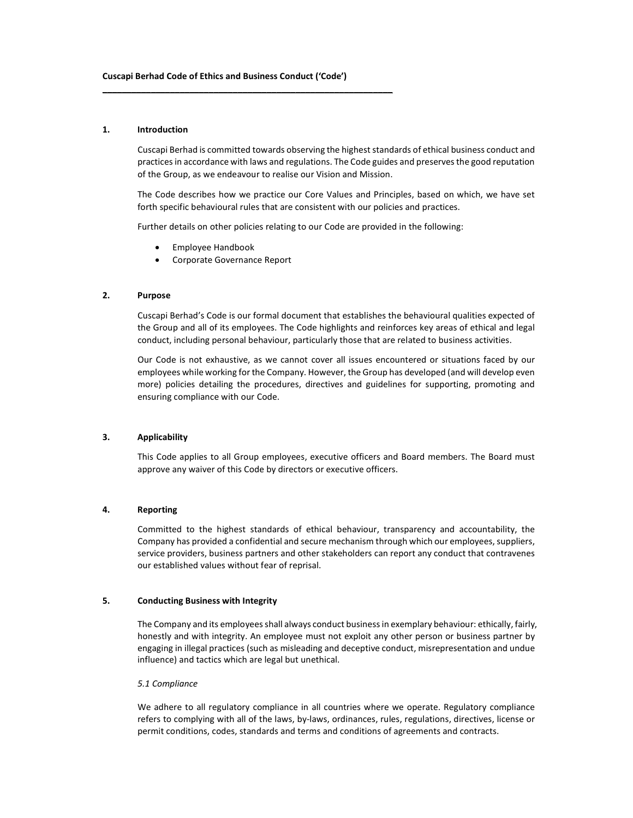$\mathcal{L}_\text{max} = \mathcal{L}_\text{max} = \mathcal{L}_\text{max} = \mathcal{L}_\text{max} = \mathcal{L}_\text{max} = \mathcal{L}_\text{max} = \mathcal{L}_\text{max} = \mathcal{L}_\text{max} = \mathcal{L}_\text{max} = \mathcal{L}_\text{max} = \mathcal{L}_\text{max} = \mathcal{L}_\text{max} = \mathcal{L}_\text{max} = \mathcal{L}_\text{max} = \mathcal{L}_\text{max} = \mathcal{L}_\text{max} = \mathcal{L}_\text{max} = \mathcal{L}_\text{max} = \mathcal{$ 

### 1. Introduction

Cuscapi Berhad is committed towards observing the highest standards of ethical business conduct and practices in accordance with laws and regulations. The Code guides and preserves the good reputation of the Group, as we endeavour to realise our Vision and Mission.

The Code describes how we practice our Core Values and Principles, based on which, we have set forth specific behavioural rules that are consistent with our policies and practices.

Further details on other policies relating to our Code are provided in the following:

- Employee Handbook
- Corporate Governance Report

### 2. Purpose

Cuscapi Berhad's Code is our formal document that establishes the behavioural qualities expected of the Group and all of its employees. The Code highlights and reinforces key areas of ethical and legal conduct, including personal behaviour, particularly those that are related to business activities.

Our Code is not exhaustive, as we cannot cover all issues encountered or situations faced by our employees while working for the Company. However, the Group has developed (and will develop even more) policies detailing the procedures, directives and guidelines for supporting, promoting and ensuring compliance with our Code.

#### 3. Applicability

This Code applies to all Group employees, executive officers and Board members. The Board must approve any waiver of this Code by directors or executive officers.

### 4. Reporting

Committed to the highest standards of ethical behaviour, transparency and accountability, the Company has provided a confidential and secure mechanism through which our employees, suppliers, service providers, business partners and other stakeholders can report any conduct that contravenes our established values without fear of reprisal.

#### 5. Conducting Business with Integrity

The Company and its employees shall always conduct business in exemplary behaviour: ethically, fairly, honestly and with integrity. An employee must not exploit any other person or business partner by engaging in illegal practices (such as misleading and deceptive conduct, misrepresentation and undue influence) and tactics which are legal but unethical.

#### 5.1 Compliance

We adhere to all regulatory compliance in all countries where we operate. Regulatory compliance refers to complying with all of the laws, by-laws, ordinances, rules, regulations, directives, license or permit conditions, codes, standards and terms and conditions of agreements and contracts.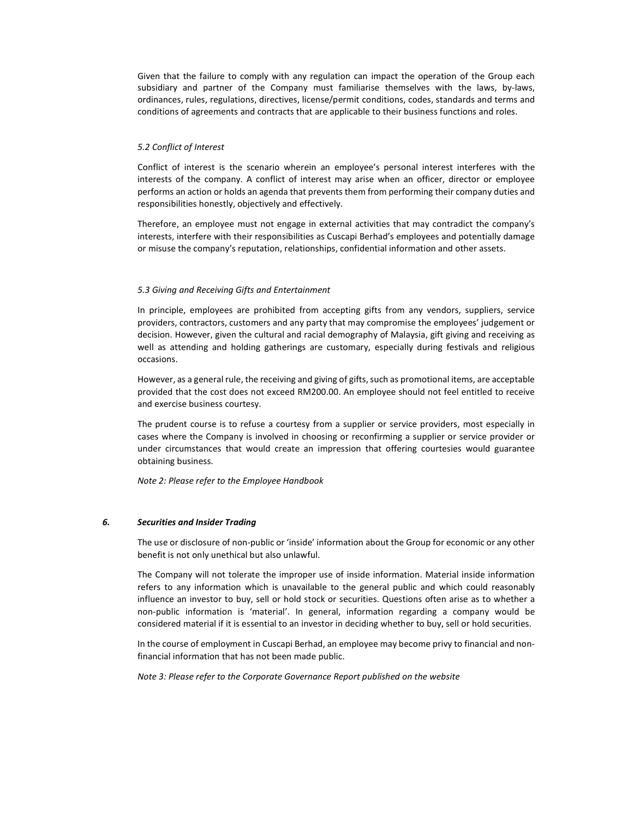Given that the failure to comply with any regulation can impact the operation of the Group each subsidiary and partner of the Company must familiarise themselves with the laws, by-laws, ordinances, rules, regulations, directives, license/permit conditions, codes, standards and terms and conditions of agreements and contracts that are applicable to their business functions and roles.

### 5.2 Conflict of Interest

Conflict of interest is the scenario wherein an employee's personal interest interferes with the interests of the company. A conflict of interest may arise when an officer, director or employee performs an action or holds an agenda that prevents them from performing their company duties and responsibilities honestly, objectively and effectively.

Therefore, an employee must not engage in external activities that may contradict the company's interests, interfere with their responsibilities as Cuscapi Berhad's employees and potentially damage or misuse the company's reputation, relationships, confidential information and other assets.

#### 5.3 Giving and Receiving Gifts and Entertainment

In principle, employees are prohibited from accepting gifts from any vendors, suppliers, service providers, contractors, customers and any party that may compromise the employees' judgement or decision. However, given the cultural and racial demography of Malaysia, gift giving and receiving as well as attending and holding gatherings are customary, especially during festivals and religious occasions.

However, as a general rule, the receiving and giving of gifts, such as promotional items, are acceptable provided that the cost does not exceed RM200.00. An employee should not feel entitled to receive and exercise business courtesy.

The prudent course is to refuse a courtesy from a supplier or service providers, most especially in cases where the Company is involved in choosing or reconfirming a supplier or service provider or under circumstances that would create an impression that offering courtesies would guarantee obtaining business.

Note 2: Please refer to the Employee Handbook

# 6. Securities and Insider Trading

The use or disclosure of non-public or 'inside' information about the Group for economic or any other benefit is not only unethical but also unlawful.

The Company will not tolerate the improper use of inside information. Material inside information refers to any information which is unavailable to the general public and which could reasonably influence an investor to buy, sell or hold stock or securities. Questions often arise as to whether a non-public information is 'material'. In general, information regarding a company would be considered material if it is essential to an investor in deciding whether to buy, sell or hold securities.

In the course of employment in Cuscapi Berhad, an employee may become privy to financial and nonfinancial information that has not been made public.

Note 3: Please refer to the Corporate Governance Report published on the website